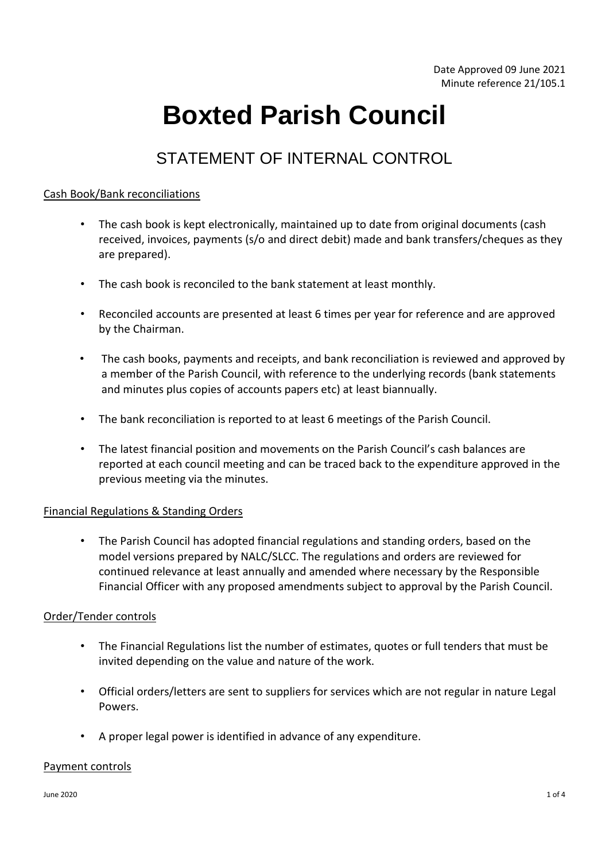# **Boxted Parish Council**

# STATEMENT OF INTERNAL CONTROL

## Cash Book/Bank reconciliations

- The cash book is kept electronically, maintained up to date from original documents (cash received, invoices, payments (s/o and direct debit) made and bank transfers/cheques as they are prepared).
- The cash book is reconciled to the bank statement at least monthly.
- Reconciled accounts are presented at least 6 times per year for reference and are approved by the Chairman.
- The cash books, payments and receipts, and bank reconciliation is reviewed and approved by a member of the Parish Council, with reference to the underlying records (bank statements and minutes plus copies of accounts papers etc) at least biannually.
- The bank reconciliation is reported to at least 6 meetings of the Parish Council.
- The latest financial position and movements on the Parish Council's cash balances are reported at each council meeting and can be traced back to the expenditure approved in the previous meeting via the minutes.

# Financial Regulations & Standing Orders

• The Parish Council has adopted financial regulations and standing orders, based on the model versions prepared by NALC/SLCC. The regulations and orders are reviewed for continued relevance at least annually and amended where necessary by the Responsible Financial Officer with any proposed amendments subject to approval by the Parish Council.

# Order/Tender controls

- The Financial Regulations list the number of estimates, quotes or full tenders that must be invited depending on the value and nature of the work.
- Official orders/letters are sent to suppliers for services which are not regular in nature Legal Powers.
- A proper legal power is identified in advance of any expenditure.

#### Payment controls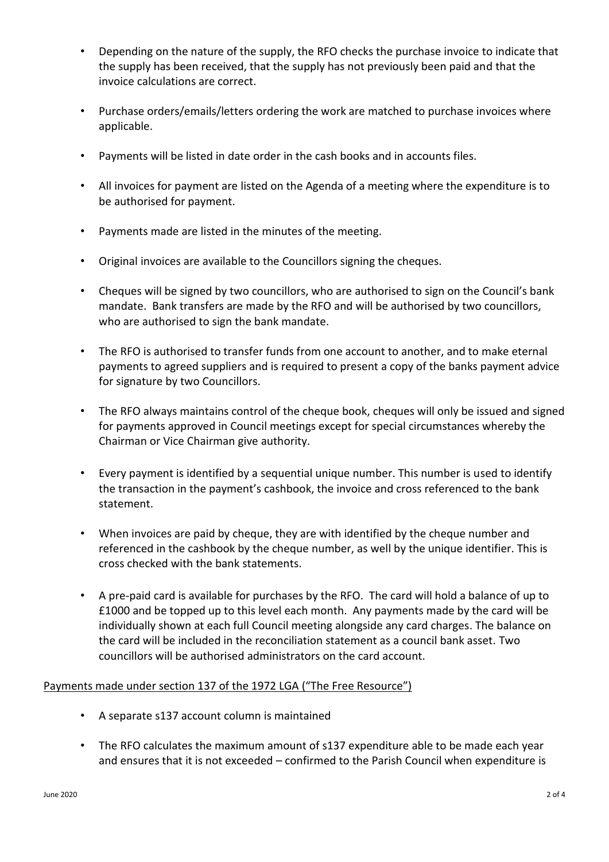- Depending on the nature of the supply, the RFO checks the purchase invoice to indicate that the supply has been received, that the supply has not previously been paid and that the invoice calculations are correct.
- Purchase orders/emails/letters ordering the work are matched to purchase invoices where applicable.
- Payments will be listed in date order in the cash books and in accounts files.
- All invoices for payment are listed on the Agenda of a meeting where the expenditure is to be authorised for payment.
- Payments made are listed in the minutes of the meeting.
- Original invoices are available to the Councillors signing the cheques.
- Cheques will be signed by two councillors, who are authorised to sign on the Council's bank mandate. Bank transfers are made by the RFO and will be authorised by two councillors, who are authorised to sign the bank mandate.
- The RFO is authorised to transfer funds from one account to another, and to make eternal payments to agreed suppliers and is required to present a copy of the banks payment advice for signature by two Councillors.
- The RFO always maintains control of the cheque book, cheques will only be issued and signed for payments approved in Council meetings except for special circumstances whereby the Chairman or Vice Chairman give authority.
- Every payment is identified by a sequential unique number. This number is used to identify the transaction in the payment's cashbook, the invoice and cross referenced to the bank statement.
- When invoices are paid by cheque, they are with identified by the cheque number and referenced in the cashbook by the cheque number, as well by the unique identifier. This is cross checked with the bank statements.
- A pre-paid card is available for purchases by the RFO. The card will hold a balance of up to £1000 and be topped up to this level each month. Any payments made by the card will be individually shown at each full Council meeting alongside any card charges. The balance on the card will be included in the reconciliation statement as a council bank asset. Two councillors will be authorised administrators on the card account.

# Payments made under section 137 of the 1972 LGA ("The Free Resource")

- A separate s137 account column is maintained
- The RFO calculates the maximum amount of s137 expenditure able to be made each year and ensures that it is not exceeded – confirmed to the Parish Council when expenditure is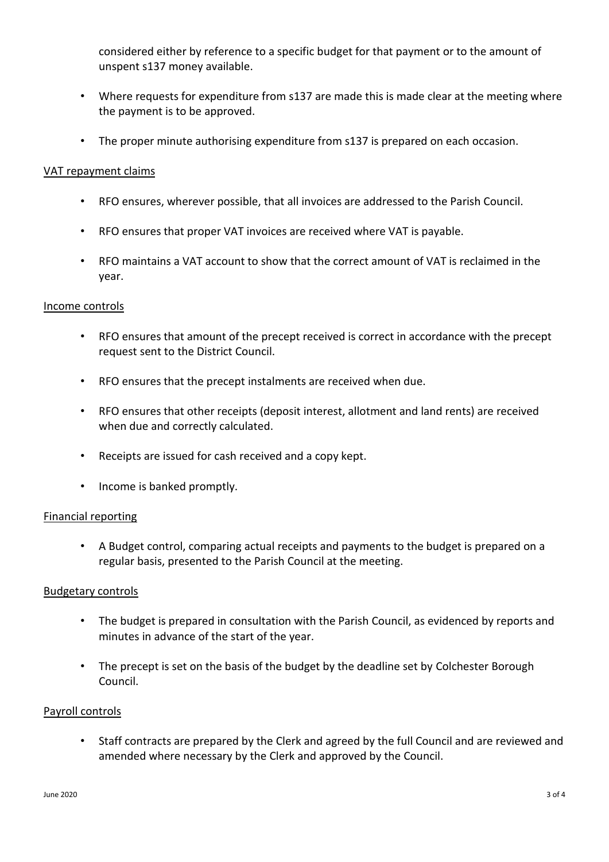considered either by reference to a specific budget for that payment or to the amount of unspent s137 money available.

- Where requests for expenditure from s137 are made this is made clear at the meeting where the payment is to be approved.
- The proper minute authorising expenditure from s137 is prepared on each occasion.

#### VAT repayment claims

- RFO ensures, wherever possible, that all invoices are addressed to the Parish Council.
- RFO ensures that proper VAT invoices are received where VAT is payable.
- RFO maintains a VAT account to show that the correct amount of VAT is reclaimed in the year.

#### Income controls

- RFO ensures that amount of the precept received is correct in accordance with the precept request sent to the District Council.
- RFO ensures that the precept instalments are received when due.
- RFO ensures that other receipts (deposit interest, allotment and land rents) are received when due and correctly calculated.
- Receipts are issued for cash received and a copy kept.
- Income is banked promptly.

#### Financial reporting

• A Budget control, comparing actual receipts and payments to the budget is prepared on a regular basis, presented to the Parish Council at the meeting.

#### Budgetary controls

- The budget is prepared in consultation with the Parish Council, as evidenced by reports and minutes in advance of the start of the year.
- The precept is set on the basis of the budget by the deadline set by Colchester Borough Council.

#### Payroll controls

• Staff contracts are prepared by the Clerk and agreed by the full Council and are reviewed and amended where necessary by the Clerk and approved by the Council.